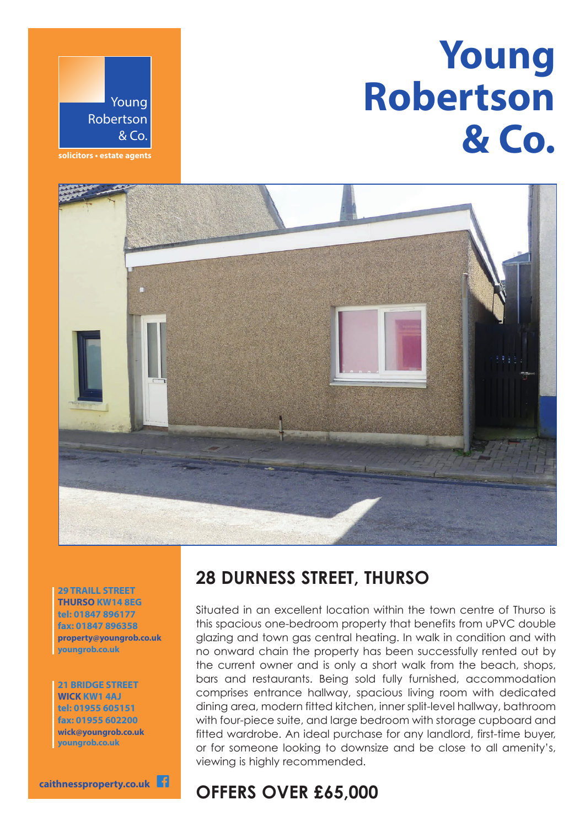# **Young Robertson & Co.**



**solicitors • estate agents**



**29 TRAILL STREET THURSO KW14 8EG tel: 01847 896177 fax: 01847 896358 property@youngrob.co.uk youngrob.co.uk**

**21 BRIDGE STREET WICK KW1 4AJ tel: 01955 605151 fax: 01955 602200 wick@youngrob.co.uk youngrob.co.uk**

**caithnessproperty.co.uk** f

## **28 DURNESS STREET, THURSO**

Situated in an excellent location within the town centre of Thurso is this spacious one-bedroom property that benefits from uPVC double glazing and town gas central heating. In walk in condition and with no onward chain the property has been successfully rented out by the current owner and is only a short walk from the beach, shops, bars and restaurants. Being sold fully furnished, accommodation comprises entrance hallway, spacious living room with dedicated dining area, modern fitted kitchen, inner split-level hallway, bathroom with four-piece suite, and large bedroom with storage cupboard and fitted wardrobe. An ideal purchase for any landlord, first-time buyer, or for someone looking to downsize and be close to all amenity's, viewing is highly recommended.

# **OFFERS OVER £65,000**